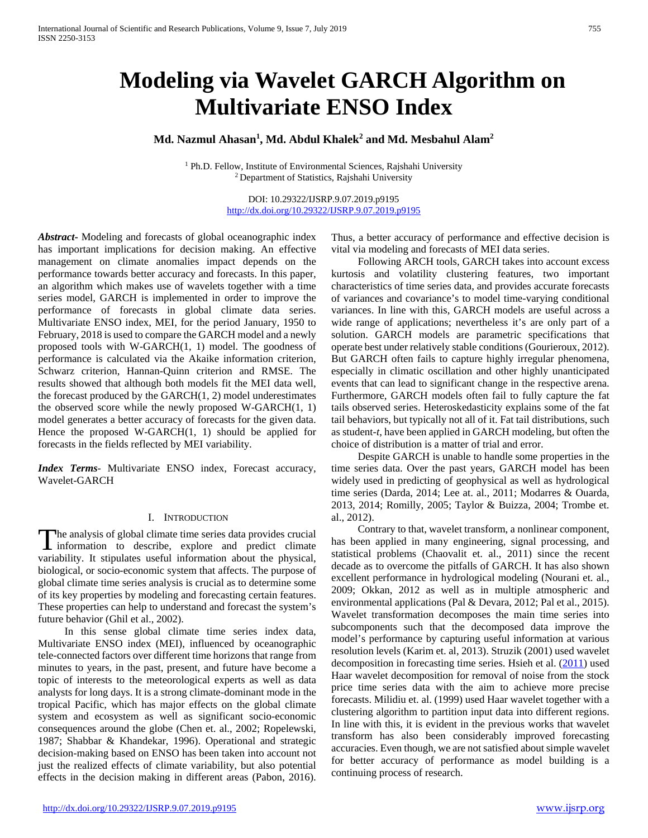# **Modeling via Wavelet GARCH Algorithm on Multivariate ENSO Index**

# **Md. Nazmul Ahasan1 , Md. Abdul Khalek2 and Md. Mesbahul Alam2**

<sup>1</sup> Ph.D. Fellow, Institute of Environmental Sciences, Rajshahi University 2 Department of Statistics, Rajshahi University

> DOI: 10.29322/IJSRP.9.07.2019.p9195 <http://dx.doi.org/10.29322/IJSRP.9.07.2019.p9195>

*Abstract***-** Modeling and forecasts of global oceanographic index has important implications for decision making. An effective management on climate anomalies impact depends on the performance towards better accuracy and forecasts. In this paper, an algorithm which makes use of wavelets together with a time series model, GARCH is implemented in order to improve the performance of forecasts in global climate data series. Multivariate ENSO index, MEI, for the period January, 1950 to February, 2018 is used to compare the GARCH model and a newly proposed tools with W-GARCH(1, 1) model. The goodness of performance is calculated via the Akaike information criterion, Schwarz criterion, Hannan-Quinn criterion and RMSE. The results showed that although both models fit the MEI data well, the forecast produced by the GARCH(1, 2) model underestimates the observed score while the newly proposed W-GARCH(1, 1) model generates a better accuracy of forecasts for the given data. Hence the proposed W-GARCH(1, 1) should be applied for forecasts in the fields reflected by MEI variability.

*Index Terms*- Multivariate ENSO index, Forecast accuracy, Wavelet-GARCH

#### I. INTRODUCTION

he analysis of global climate time series data provides crucial The analysis of global climate time series data provides crucial<br>information to describe, explore and predict climate variability. It stipulates useful information about the physical, biological, or socio-economic system that affects. The purpose of global climate time series analysis is crucial as to determine some of its key properties by modeling and forecasting certain features. These properties can help to understand and forecast the system's future behavior (Ghil et al., 2002).

 In this sense global climate time series index data, Multivariate ENSO index (MEI), influenced by oceanographic tele-connected factors over different time horizons that range from minutes to years, in the past, present, and future have become a topic of interests to the meteorological experts as well as data analysts for long days. It is a strong climate-dominant mode in the tropical Pacific, which has major effects on the global climate system and ecosystem as well as significant socio-economic consequences around the globe (Chen et. al., 2002; Ropelewski, 1987; Shabbar & Khandekar, 1996). Operational and strategic decision-making based on ENSO has been taken into account not just the realized effects of climate variability, but also potential effects in the decision making in different areas (Pabon, 2016).

Thus, a better accuracy of performance and effective decision is vital via modeling and forecasts of MEI data series.

 Following ARCH tools, GARCH takes into account excess kurtosis and volatility clustering features, two important characteristics of time series data, and provides accurate forecasts of variances and covariance's to model time-varying conditional variances. In line with this, GARCH models are useful across a wide range of applications; nevertheless it's are only part of a solution. GARCH models are parametric specifications that operate best under relatively stable conditions (Gourieroux, 2012). But GARCH often fails to capture highly irregular phenomena, especially in climatic oscillation and other highly unanticipated events that can lead to significant change in the respective arena. Furthermore, GARCH models often fail to fully capture the fat tails observed series. Heteroskedasticity explains some of the fat tail behaviors, but typically not all of it. Fat tail distributions, such as student-*t*, have been applied in GARCH modeling, but often the choice of distribution is a matter of trial and error.

 Despite GARCH is unable to handle some properties in the time series data. Over the past years, GARCH model has been widely used in predicting of geophysical as well as hydrological time series (Darda, 2014; Lee at. al., 2011; Modarres & Ouarda, 2013, 2014; Romilly, 2005; Taylor & Buizza, 2004; Trombe et. al., 2012).

 Contrary to that, wavelet transform, a nonlinear component, has been applied in many engineering, signal processing, and statistical problems (Chaovalit et. al., 2011) since the recent decade as to overcome the pitfalls of GARCH. It has also shown excellent performance in hydrological modeling (Nourani et. al., 2009; Okkan, 2012 as well as in multiple atmospheric and environmental applications (Pal & Devara, 2012; Pal et al., 2015). Wavelet transformation decomposes the main time series into subcomponents such that the decomposed data improve the model's performance by capturing useful information at various resolution levels (Karim et. al, 2013). Struzik (2001) used wavelet decomposition in forecasting time series. Hsieh et al. (2011) used Haar wavelet decomposition for removal of noise from the stock price time series data with the aim to achieve more precise forecasts. Milidiu et. al. (1999) used Haar wavelet together with a clustering algorithm to partition input data into different regions. In line with this, it is evident in the previous works that wavelet transform has also been considerably improved forecasting accuracies. Even though, we are not satisfied about simple wavelet for better accuracy of performance as model building is a continuing process of research.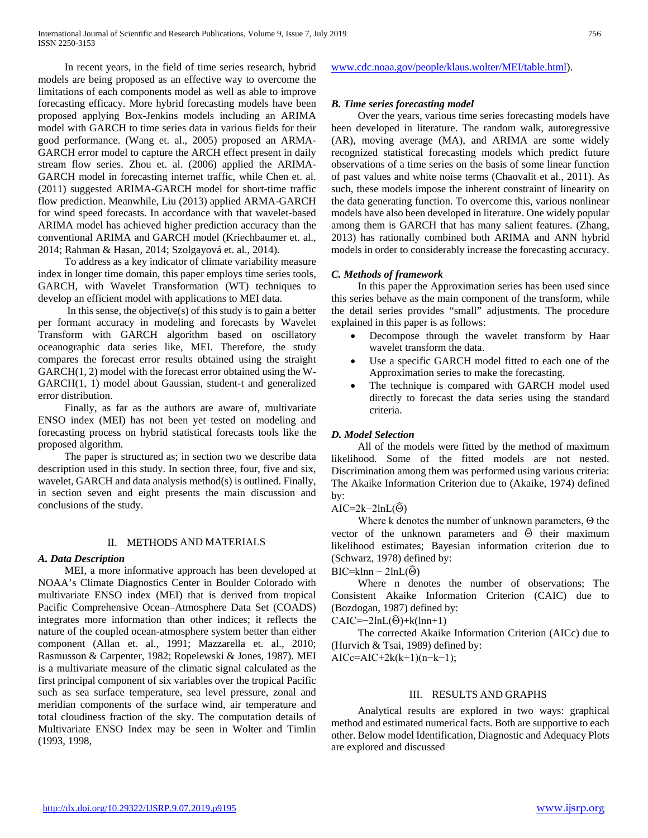In recent years, in the field of time series research, hybrid models are being proposed as an effective way to overcome the limitations of each components model as well as able to improve forecasting efficacy. More hybrid forecasting models have been proposed applying Box-Jenkins models including an ARIMA model with GARCH to time series data in various fields for their good performance. (Wang et. al., 2005) proposed an ARMA-GARCH error model to capture the ARCH effect present in daily stream flow series. Zhou et. al. (2006) applied the ARIMA-GARCH model in forecasting internet traffic, while Chen et. al. (2011) suggested ARIMA-GARCH model for short-time traffic flow prediction. Meanwhile, Liu (2013) applied ARMA-GARCH for wind speed forecasts. In accordance with that wavelet-based ARIMA model has achieved higher prediction accuracy than the conventional ARIMA and GARCH model (Kriechbaumer et. al., 2014; Rahman & Hasan, 2014; Szolgayová et. al., 2014).

 To address as a key indicator of climate variability measure index in longer time domain, this paper employs time series tools, GARCH, with Wavelet Transformation (WT) techniques to develop an efficient model with applications to MEI data.

 In this sense, the objective(s) of this study is to gain a better per formant accuracy in modeling and forecasts by Wavelet Transform with GARCH algorithm based on oscillatory oceanographic data series like, MEI. Therefore, the study compares the forecast error results obtained using the straight GARCH(1, 2) model with the forecast error obtained using the W-GARCH(1, 1) model about Gaussian, student-t and generalized error distribution.

 Finally, as far as the authors are aware of, multivariate ENSO index (MEI) has not been yet tested on modeling and forecasting process on hybrid statistical forecasts tools like the proposed algorithm.

 The paper is structured as; in section two we describe data description used in this study. In section three, four, five and six, wavelet, GARCH and data analysis method(s) is outlined. Finally, in section seven and eight presents the main discussion and conclusions of the study.

## II. METHODS AND MATERIALS

# *A. Data Description*

 MEI, a more informative approach has been developed at NOAA's Climate Diagnostics Center in Boulder Colorado with multivariate ENSO index (MEI) that is derived from tropical Pacific Comprehensive Ocean–Atmosphere Data Set (COADS) integrates more information than other indices; it reflects the nature of the coupled ocean-atmosphere system better than either component (Allan et. al., 1991; Mazzarella et. al., 2010; Rasmusson & Carpenter, 1982; Ropelewski & Jones, 1987). MEI is a multivariate measure of the climatic signal calculated as the first principal component of six variables over the tropical Pacific such as sea surface temperature, sea level pressure, zonal and meridian components of the surface wind, air temperature and total cloudiness fraction of the sky. The computation details of Multivariate ENSO Index may be seen in Wolter and Timlin (1993, 1998,

[www.cdc.noaa.gov/people/klaus.wolter/MEI/table.html\)](http://www.cdc.noaa.gov/people/klaus.wolter/MEI/table.html).

# *B. Time series forecasting model*

 Over the years, various time series forecasting models have been developed in literature. The random walk, autoregressive (AR), moving average (MA), and ARIMA are some widely recognized statistical forecasting models which predict future observations of a time series on the basis of some linear function of past values and white noise terms (Chaovalit et al., 2011). As such, these models impose the inherent constraint of linearity on the data generating function. To overcome this, various nonlinear models have also been developed in literature. One widely popular among them is GARCH that has many salient features. (Zhang, 2013) has rationally combined both ARIMA and ANN hybrid models in order to considerably increase the forecasting accuracy.

## *C. Methods of framework*

 In this paper the Approximation series has been used since this series behave as the main component of the transform, while the detail series provides "small" adjustments. The procedure explained in this paper is as follows:

- Decompose through the wavelet transform by Haar wavelet transform the data.
- Use a specific GARCH model fitted to each one of the Approximation series to make the forecasting.
- The technique is compared with GARCH model used directly to forecast the data series using the standard criteria.

## *D. Model Selection*

 All of the models were fitted by the method of maximum likelihood. Some of the fitted models are not nested. Discrimination among them was performed using various criteria: The Akaike Information Criterion due to (Akaike, 1974) defined by:

## AIC= $2k-2lnL(\widehat{\Theta})$

 Where k denotes the number of unknown parameters, Θ the vector of the unknown parameters and  $\hat{\Theta}$  their maximum likelihood estimates; Bayesian information criterion due to (Schwarz, 1978) defined by:

 $BIC=klnn - 2lnL(\hat{\Theta})$ 

 Where n denotes the number of observations; The Consistent Akaike Information Criterion (CAIC) due to (Bozdogan, 1987) defined by:

 $CAIC=-2lnL(\widehat{\Theta})+k(lnn+1)$ 

 The corrected Akaike Information Criterion (AICc) due to (Hurvich & Tsai, 1989) defined by:

AICc=AIC+2k(k+1)(n−k−1);

## III. RESULTS AND GRAPHS

 Analytical results are explored in two ways: graphical method and estimated numerical facts. Both are supportive to each other. Below model Identification, Diagnostic and Adequacy Plots are explored and discussed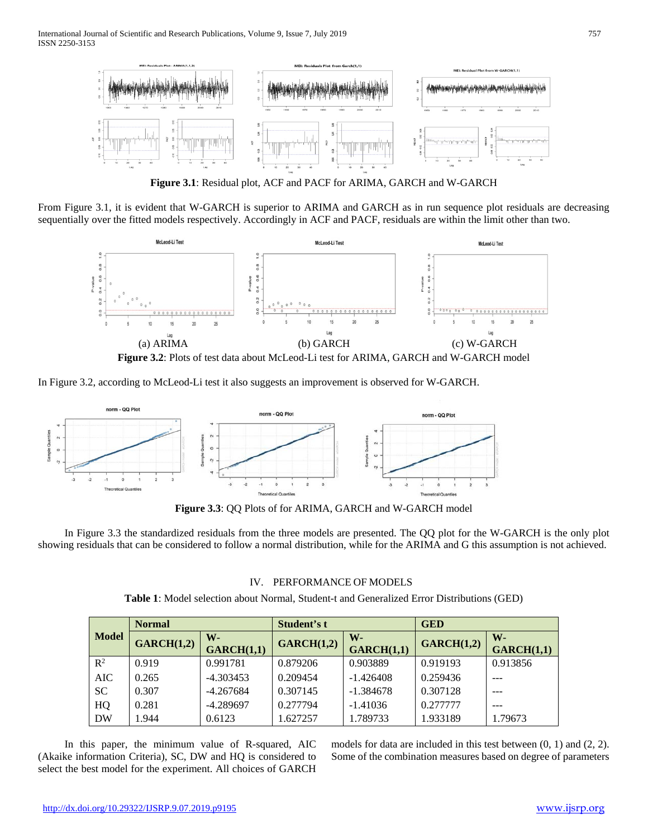

**Figure 3.1**: Residual plot, ACF and PACF for ARIMA, GARCH and W-GARCH

From Figure 3.1, it is evident that W-GARCH is superior to ARIMA and GARCH as in run sequence plot residuals are decreasing sequentially over the fitted models respectively. Accordingly in ACF and PACF, residuals are within the limit other than two.



In Figure 3.2, according to McLeod-Li test it also suggests an improvement is observed for W-GARCH.



**Figure 3.3**: QQ Plots of for ARIMA, GARCH and W-GARCH model

 In Figure 3.3 the standardized residuals from the three models are presented. The QQ plot for the W-GARCH is the only plot showing residuals that can be considered to follow a normal distribution, while for the ARIMA and G this assumption is not achieved.

# IV. PERFORMANCE OF MODELS

**Table 1**: Model selection about Normal, Student-t and Generalized Error Distributions (GED)

| <b>Model</b>   | <b>Normal</b> |             | Student's t |             | <b>GED</b> |            |
|----------------|---------------|-------------|-------------|-------------|------------|------------|
|                | GARCH(1,2)    | $W -$       | GARCH(1,2)  | W-          | GARCH(1,2) | $W -$      |
|                |               | GARCH(1,1)  |             | GARCH(1,1)  |            | GARCH(1,1) |
| $\mathbb{R}^2$ | 0.919         | 0.991781    | 0.879206    | 0.903889    | 0.919193   | 0.913856   |
| <b>AIC</b>     | 0.265         | $-4.303453$ | 0.209454    | $-1.426408$ | 0.259436   |            |
| <b>SC</b>      | 0.307         | $-4.267684$ | 0.307145    | $-1.384678$ | 0.307128   | ---        |
| HQ             | 0.281         | $-4.289697$ | 0.277794    | $-1.41036$  | 0.277777   |            |
| <b>DW</b>      | 1.944         | 0.6123      | 1.627257    | 1.789733    | 1.933189   | 1.79673    |

 In this paper, the minimum value of R-squared, AIC (Akaike information Criteria), SC, DW and HQ is considered to select the best model for the experiment. All choices of GARCH models for data are included in this test between (0, 1) and (2, 2). Some of the combination measures based on degree of parameters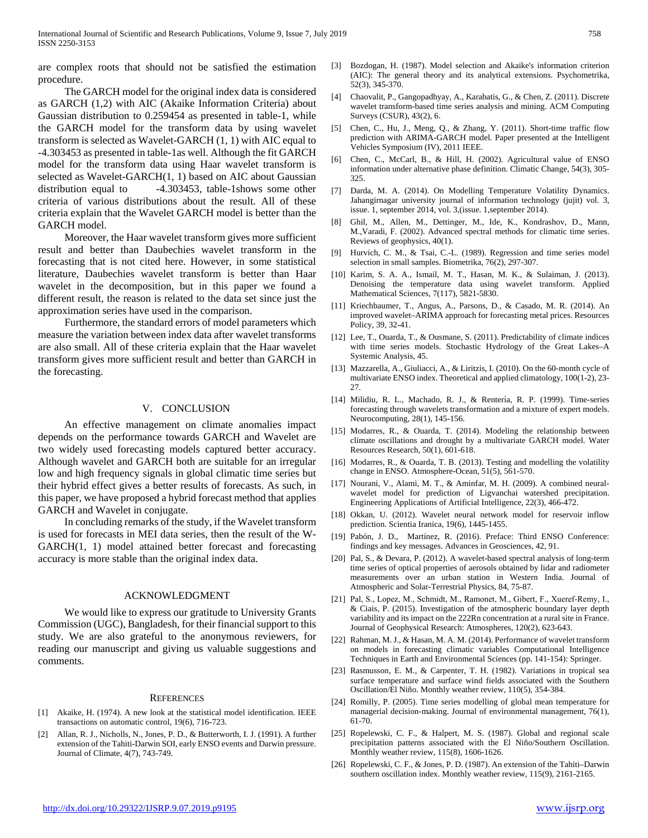are complex roots that should not be satisfied the estimation procedure.

 The GARCH model for the original index data is considered as GARCH (1,2) with AIC (Akaike Information Criteria) about Gaussian distribution to 0.259454 as presented in table-1, while the GARCH model for the transform data by using wavelet transform is selected as Wavelet-GARCH (1, 1) with AIC equal to -4.303453 as presented in table-1as well. Although the fit GARCH model for the transform data using Haar wavelet transform is selected as Wavelet-GARCH(1, 1) based on AIC about Gaussian distribution equal to -4.303453, table-1shows some other criteria of various distributions about the result. All of these criteria explain that the Wavelet GARCH model is better than the GARCH model.

 Moreover, the Haar wavelet transform gives more sufficient result and better than Daubechies wavelet transform in the forecasting that is not cited here. However, in some statistical literature, Daubechies wavelet transform is better than Haar wavelet in the decomposition, but in this paper we found a different result, the reason is related to the data set since just the approximation series have used in the comparison.

 Furthermore, the standard errors of model parameters which measure the variation between index data after wavelet transforms are also small. All of these criteria explain that the Haar wavelet transform gives more sufficient result and better than GARCH in the forecasting.

### V. CONCLUSION

 An effective management on climate anomalies impact depends on the performance towards GARCH and Wavelet are two widely used forecasting models captured better accuracy. Although wavelet and GARCH both are suitable for an irregular low and high frequency signals in global climatic time series but their hybrid effect gives a better results of forecasts. As such, in this paper, we have proposed a hybrid forecast method that applies GARCH and Wavelet in conjugate.

 In concluding remarks of the study, if the Wavelet transform is used for forecasts in MEI data series, then the result of the W-GARCH(1, 1) model attained better forecast and forecasting accuracy is more stable than the original index data.

#### ACKNOWLEDGMENT

 We would like to express our gratitude to University Grants Commission (UGC), Bangladesh, for their financial support to this study. We are also grateful to the anonymous reviewers, for reading our manuscript and giving us valuable suggestions and comments.

#### **REFERENCES**

- [1] Akaike, H. (1974). A new look at the statistical model identification. IEEE transactions on automatic control, 19(6), 716-723.
- [2] Allan, R. J., Nicholls, N., Jones, P. D., & Butterworth, I. J. (1991). A further extension of the Tahiti-Darwin SOI, early ENSO events and Darwin pressure. Journal of Climate, 4(7), 743-749.
- [3] Bozdogan, H. (1987). Model selection and Akaike's information criterion (AIC): The general theory and its analytical extensions. Psychometrika, 52(3), 345-370.
- [4] Chaovalit, P., Gangopadhyay, A., Karabatis, G., & Chen, Z. (2011). Discrete wavelet transform-based time series analysis and mining. ACM Computing Surveys (CSUR), 43(2), 6.
- [5] Chen, C., Hu, J., Meng, Q., & Zhang, Y. (2011). Short-time traffic flow prediction with ARIMA-GARCH model. Paper presented at the Intelligent Vehicles Symposium (IV), 2011 IEEE.
- [6] Chen, C., McCarl, B., & Hill, H. (2002). Agricultural value of ENSO information under alternative phase definition. Climatic Change, 54(3), 305- 325.
- [7] Darda, M. A. (2014). On Modelling Temperature Volatility Dynamics. Jahangirnagar university journal of information technology (jujit) vol. 3, issue. 1, september 2014, vol. 3,(issue. 1,september 2014).
- [8] Ghil, M., Allen, M., Dettinger, M., Ide, K., Kondrashov, D., Mann, M.,Varadi, F. (2002). Advanced spectral methods for climatic time series. Reviews of geophysics, 40(1).
- [9] Hurvich, C. M., & Tsai, C.-L. (1989). Regression and time series model selection in small samples. Biometrika, 76(2), 297-307.
- [10] Karim, S. A. A., Ismail, M. T., Hasan, M. K., & Sulaiman, J. (2013). Denoising the temperature data using wavelet transform. Applied Mathematical Sciences, 7(117), 5821-5830.
- [11] Kriechbaumer, T., Angus, A., Parsons, D., & Casado, M. R. (2014). An improved wavelet–ARIMA approach for forecasting metal prices. Resources Policy, 39, 32-41.
- [12] Lee, T., Ouarda, T., & Ousmane, S. (2011). Predictability of climate indices with time series models. Stochastic Hydrology of the Great Lakes–A Systemic Analysis, 45.
- [13] Mazzarella, A., Giuliacci, A., & Liritzis, I. (2010). On the 60-month cycle of multivariate ENSO index. Theoretical and applied climatology, 100(1-2), 23- 27.
- [14] Milidiu, R. L., Machado, R. J., & Renterı́ a, R. P. (1999). Time-series forecasting through wavelets transformation and a mixture of expert models. Neurocomputing, 28(1), 145-156.
- [15] Modarres, R., & Ouarda, T. (2014). Modeling the relationship between climate oscillations and drought by a multivariate GARCH model. Water Resources Research, 50(1), 601-618.
- [16] Modarres, R., & Ouarda, T. B. (2013). Testing and modelling the volatility change in ENSO. Atmosphere-Ocean, 51(5), 561-570.
- [17] Nourani, V., Alami, M. T., & Aminfar, M. H. (2009). A combined neuralwavelet model for prediction of Ligvanchai watershed precipitation. Engineering Applications of Artificial Intelligence, 22(3), 466-472.
- [18] Okkan, U. (2012). Wavelet neural network model for reservoir inflow prediction. Scientia Iranica, 19(6), 1445-1455.
- [19] Pabón, J. D., Martínez, R. (2016). Preface: Third ENSO Conference: findings and key messages. Advances in Geosciences, 42, 91.
- [20] Pal, S., & Devara, P. (2012). A wavelet-based spectral analysis of long-term time series of optical properties of aerosols obtained by lidar and radiometer measurements over an urban station in Western India. Journal of Atmospheric and Solar-Terrestrial Physics, 84, 75-87.
- [21] Pal, S., Lopez, M., Schmidt, M., Ramonet, M., Gibert, F., Xueref-Remy, I., & Ciais, P. (2015). Investigation of the atmospheric boundary layer depth variability and its impact on the 222Rn concentration at a rural site in France. Journal of Geophysical Research: Atmospheres, 120(2), 623-643.
- [22] Rahman, M. J., & Hasan, M. A. M. (2014). Performance of wavelet transform on models in forecasting climatic variables Computational Intelligence Techniques in Earth and Environmental Sciences (pp. 141-154): Springer.
- [23] Rasmusson, E. M., & Carpenter, T. H. (1982). Variations in tropical sea surface temperature and surface wind fields associated with the Southern Oscillation/El Niño. Monthly weather review, 110(5), 354-384.
- [24] Romilly, P. (2005). Time series modelling of global mean temperature for managerial decision-making. Journal of environmental management, 76(1), 61-70.
- [25] Ropelewski, C. F., & Halpert, M. S. (1987). Global and regional scale precipitation patterns associated with the El Niño/Southern Oscillation. Monthly weather review, 115(8), 1606-1626.
- [26] Ropelewski, C. F., & Jones, P. D. (1987). An extension of the Tahiti–Darwin southern oscillation index. Monthly weather review, 115(9), 2161-2165.